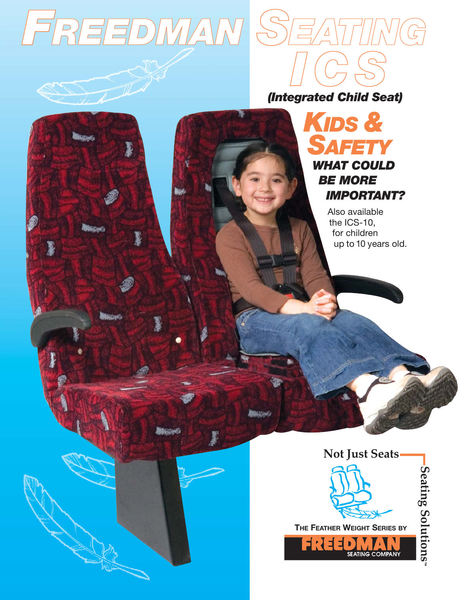





*ICS*

Also available the ICS-10, for children up to 10 years old.